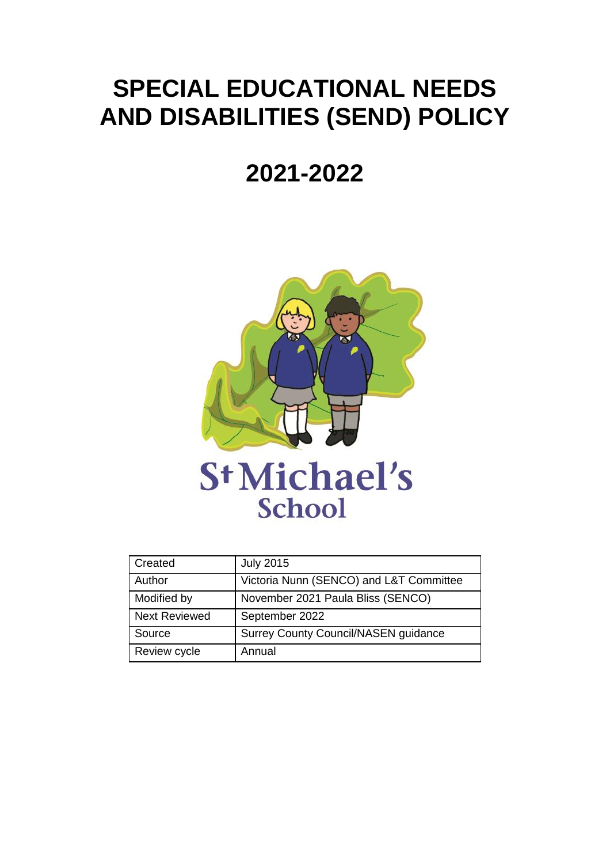# **SPECIAL EDUCATIONAL NEEDS AND DISABILITIES (SEND) POLICY**

# **2021-2022**



| Created              | <b>July 2015</b>                            |
|----------------------|---------------------------------------------|
| Author               | Victoria Nunn (SENCO) and L&T Committee     |
| Modified by          | November 2021 Paula Bliss (SENCO)           |
| <b>Next Reviewed</b> | September 2022                              |
| Source               | <b>Surrey County Council/NASEN guidance</b> |
| Review cycle         | Annual                                      |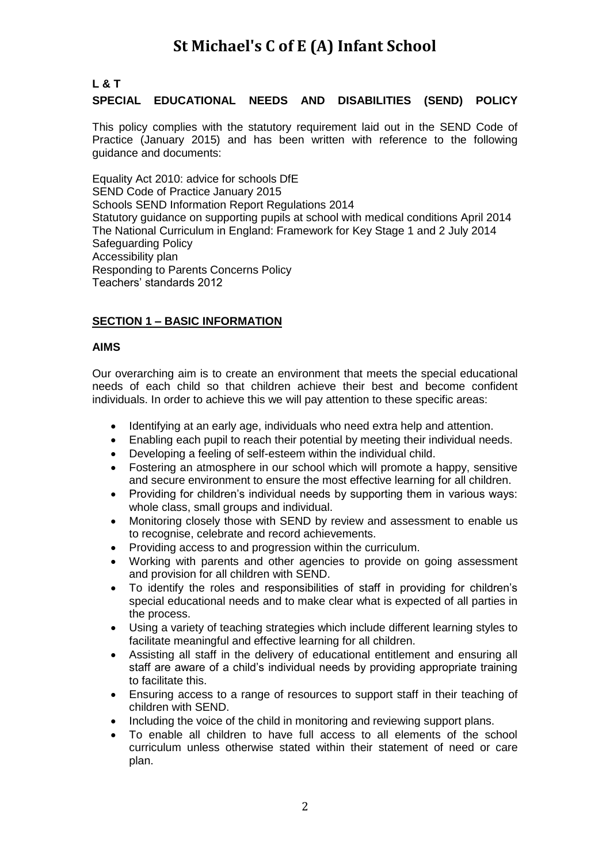# **L & T**

# **SPECIAL EDUCATIONAL NEEDS AND DISABILITIES (SEND) POLICY**

This policy complies with the statutory requirement laid out in the SEND Code of Practice (January 2015) and has been written with reference to the following guidance and documents:

Equality Act 2010: advice for schools DfE SEND Code of Practice January 2015 Schools SEND Information Report Regulations 2014 Statutory guidance on supporting pupils at school with medical conditions April 2014 The National Curriculum in England: Framework for Key Stage 1 and 2 July 2014 Safeguarding Policy Accessibility plan Responding to Parents Concerns Policy Teachers' standards 2012

### **SECTION 1 – BASIC INFORMATION**

#### **AIMS**

Our overarching aim is to create an environment that meets the special educational needs of each child so that children achieve their best and become confident individuals. In order to achieve this we will pay attention to these specific areas:

- Identifying at an early age, individuals who need extra help and attention.
- Enabling each pupil to reach their potential by meeting their individual needs.
- Developing a feeling of self-esteem within the individual child.
- Fostering an atmosphere in our school which will promote a happy, sensitive and secure environment to ensure the most effective learning for all children.
- Providing for children's individual needs by supporting them in various ways: whole class, small groups and individual.
- Monitoring closely those with SEND by review and assessment to enable us to recognise, celebrate and record achievements.
- Providing access to and progression within the curriculum.
- Working with parents and other agencies to provide on going assessment and provision for all children with SEND.
- To identify the roles and responsibilities of staff in providing for children's special educational needs and to make clear what is expected of all parties in the process.
- Using a variety of teaching strategies which include different learning styles to facilitate meaningful and effective learning for all children.
- Assisting all staff in the delivery of educational entitlement and ensuring all staff are aware of a child's individual needs by providing appropriate training to facilitate this.
- Ensuring access to a range of resources to support staff in their teaching of children with SEND.
- Including the voice of the child in monitoring and reviewing support plans.
- To enable all children to have full access to all elements of the school curriculum unless otherwise stated within their statement of need or care plan.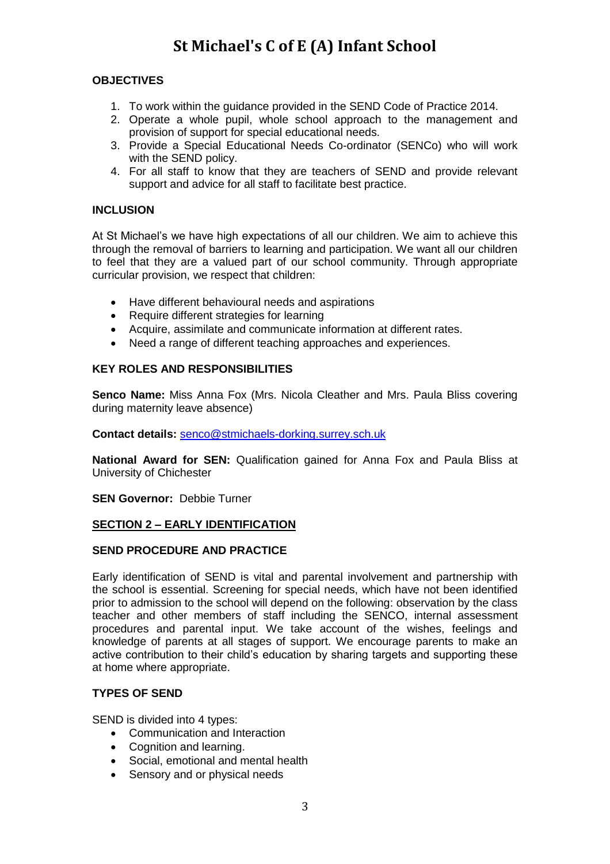### **OBJECTIVES**

- 1. To work within the guidance provided in the SEND Code of Practice 2014.
- 2. Operate a whole pupil, whole school approach to the management and provision of support for special educational needs.
- 3. Provide a Special Educational Needs Co-ordinator (SENCo) who will work with the SEND policy.
- 4. For all staff to know that they are teachers of SEND and provide relevant support and advice for all staff to facilitate best practice.

### **INCLUSION**

At St Michael's we have high expectations of all our children. We aim to achieve this through the removal of barriers to learning and participation. We want all our children to feel that they are a valued part of our school community. Through appropriate curricular provision, we respect that children:

- Have different behavioural needs and aspirations
- Require different strategies for learning
- Acquire, assimilate and communicate information at different rates.
- Need a range of different teaching approaches and experiences.

# **KEY ROLES AND RESPONSIBILITIES**

**Senco Name:** Miss Anna Fox (Mrs. Nicola Cleather and Mrs. Paula Bliss covering during maternity leave absence)

**Contact details:** [senco@stmichaels-dorking.surrey.sch.uk](mailto:senco@stmichaels-dorking.surrey.sch.uk)

**National Award for SEN:** Qualification gained for Anna Fox and Paula Bliss at University of Chichester

### **SEN Governor:** Debbie Turner

# **SECTION 2 – EARLY IDENTIFICATION**

### **SEND PROCEDURE AND PRACTICE**

Early identification of SEND is vital and parental involvement and partnership with the school is essential. Screening for special needs, which have not been identified prior to admission to the school will depend on the following: observation by the class teacher and other members of staff including the SENCO, internal assessment procedures and parental input. We take account of the wishes, feelings and knowledge of parents at all stages of support. We encourage parents to make an active contribution to their child's education by sharing targets and supporting these at home where appropriate.

### **TYPES OF SEND**

SEND is divided into 4 types:

- Communication and Interaction
- Cognition and learning.
- Social, emotional and mental health
- Sensory and or physical needs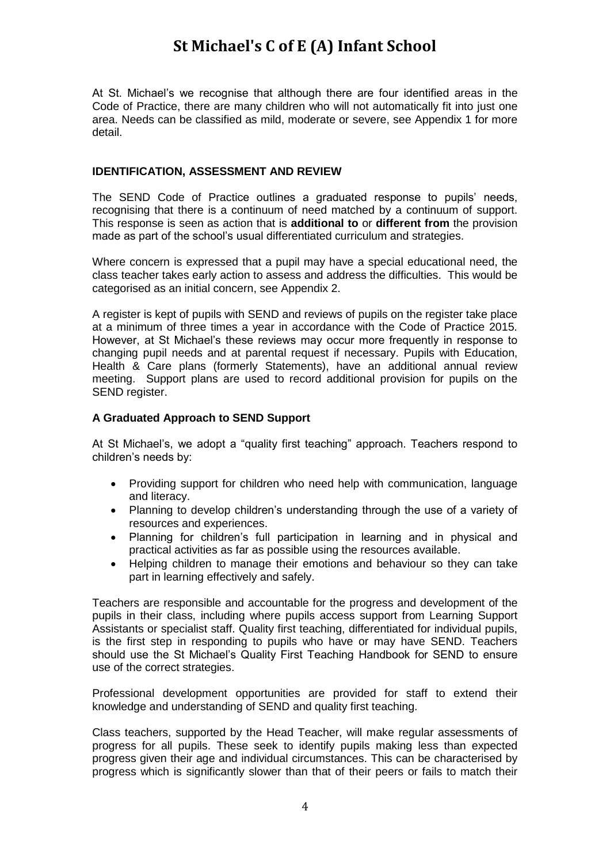At St. Michael's we recognise that although there are four identified areas in the Code of Practice, there are many children who will not automatically fit into just one area. Needs can be classified as mild, moderate or severe, see Appendix 1 for more detail.

### **IDENTIFICATION, ASSESSMENT AND REVIEW**

The SEND Code of Practice outlines a graduated response to pupils' needs, recognising that there is a continuum of need matched by a continuum of support. This response is seen as action that is **additional to** or **different from** the provision made as part of the school's usual differentiated curriculum and strategies.

Where concern is expressed that a pupil may have a special educational need, the class teacher takes early action to assess and address the difficulties. This would be categorised as an initial concern, see Appendix 2.

A register is kept of pupils with SEND and reviews of pupils on the register take place at a minimum of three times a year in accordance with the Code of Practice 2015. However, at St Michael's these reviews may occur more frequently in response to changing pupil needs and at parental request if necessary. Pupils with Education, Health & Care plans (formerly Statements), have an additional annual review meeting. Support plans are used to record additional provision for pupils on the SEND register.

### **A Graduated Approach to SEND Support**

At St Michael's, we adopt a "quality first teaching" approach. Teachers respond to children's needs by:

- Providing support for children who need help with communication, language and literacy.
- Planning to develop children's understanding through the use of a variety of resources and experiences.
- Planning for children's full participation in learning and in physical and practical activities as far as possible using the resources available.
- Helping children to manage their emotions and behaviour so they can take part in learning effectively and safely.

Teachers are responsible and accountable for the progress and development of the pupils in their class, including where pupils access support from Learning Support Assistants or specialist staff. Quality first teaching, differentiated for individual pupils, is the first step in responding to pupils who have or may have SEND. Teachers should use the St Michael's Quality First Teaching Handbook for SEND to ensure use of the correct strategies.

Professional development opportunities are provided for staff to extend their knowledge and understanding of SEND and quality first teaching.

Class teachers, supported by the Head Teacher, will make regular assessments of progress for all pupils. These seek to identify pupils making less than expected progress given their age and individual circumstances. This can be characterised by progress which is significantly slower than that of their peers or fails to match their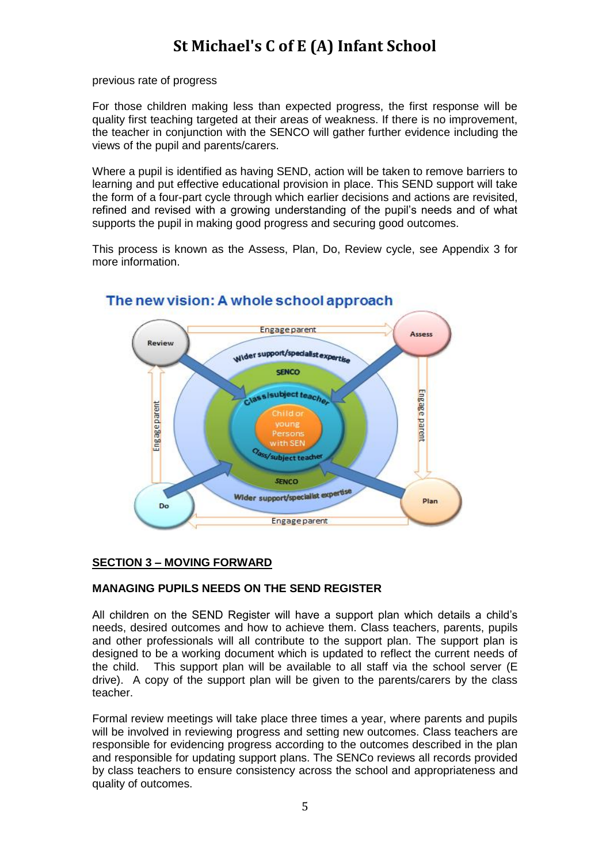previous rate of progress

For those children making less than expected progress, the first response will be quality first teaching targeted at their areas of weakness. If there is no improvement, the teacher in conjunction with the SENCO will gather further evidence including the views of the pupil and parents/carers.

Where a pupil is identified as having SEND, action will be taken to remove barriers to learning and put effective educational provision in place. This SEND support will take the form of a four-part cycle through which earlier decisions and actions are revisited, refined and revised with a growing understanding of the pupil's needs and of what supports the pupil in making good progress and securing good outcomes.

This process is known as the Assess, Plan, Do, Review cycle, see Appendix 3 for more information.



# The new vision: A whole school approach

# **SECTION 3 – MOVING FORWARD**

# **MANAGING PUPILS NEEDS ON THE SEND REGISTER**

All children on the SEND Register will have a support plan which details a child's needs, desired outcomes and how to achieve them. Class teachers, parents, pupils and other professionals will all contribute to the support plan. The support plan is designed to be a working document which is updated to reflect the current needs of the child. This support plan will be available to all staff via the school server (E drive). A copy of the support plan will be given to the parents/carers by the class teacher.

Formal review meetings will take place three times a year, where parents and pupils will be involved in reviewing progress and setting new outcomes. Class teachers are responsible for evidencing progress according to the outcomes described in the plan and responsible for updating support plans. The SENCo reviews all records provided by class teachers to ensure consistency across the school and appropriateness and quality of outcomes.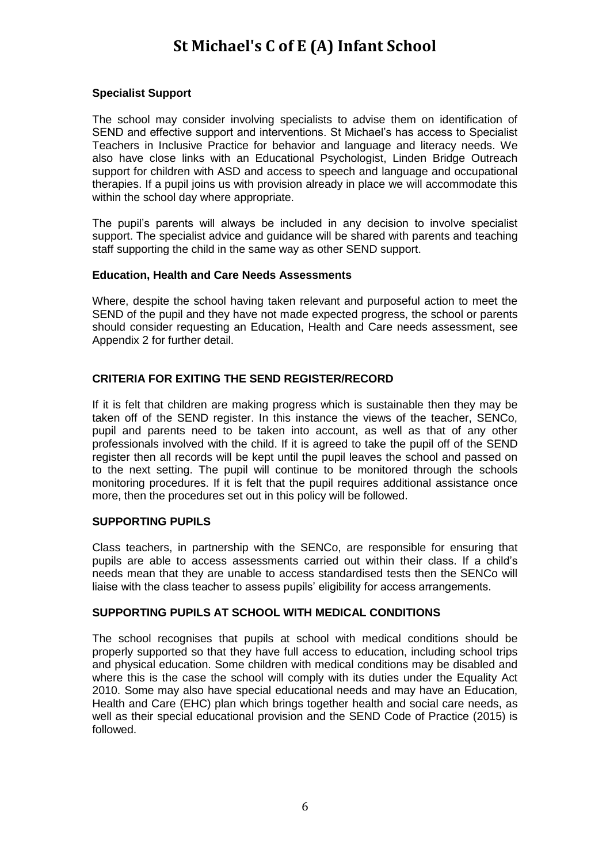### **Specialist Support**

The school may consider involving specialists to advise them on identification of SEND and effective support and interventions. St Michael's has access to Specialist Teachers in Inclusive Practice for behavior and language and literacy needs. We also have close links with an Educational Psychologist, Linden Bridge Outreach support for children with ASD and access to speech and language and occupational therapies. If a pupil joins us with provision already in place we will accommodate this within the school day where appropriate.

The pupil's parents will always be included in any decision to involve specialist support. The specialist advice and guidance will be shared with parents and teaching staff supporting the child in the same way as other SEND support.

#### **Education, Health and Care Needs Assessments**

Where, despite the school having taken relevant and purposeful action to meet the SEND of the pupil and they have not made expected progress, the school or parents should consider requesting an Education, Health and Care needs assessment, see Appendix 2 for further detail.

#### **CRITERIA FOR EXITING THE SEND REGISTER/RECORD**

If it is felt that children are making progress which is sustainable then they may be taken off of the SEND register. In this instance the views of the teacher, SENCo, pupil and parents need to be taken into account, as well as that of any other professionals involved with the child. If it is agreed to take the pupil off of the SEND register then all records will be kept until the pupil leaves the school and passed on to the next setting. The pupil will continue to be monitored through the schools monitoring procedures. If it is felt that the pupil requires additional assistance once more, then the procedures set out in this policy will be followed.

#### **SUPPORTING PUPILS**

Class teachers, in partnership with the SENCo, are responsible for ensuring that pupils are able to access assessments carried out within their class. If a child's needs mean that they are unable to access standardised tests then the SENCo will liaise with the class teacher to assess pupils' eligibility for access arrangements.

#### **SUPPORTING PUPILS AT SCHOOL WITH MEDICAL CONDITIONS**

The school recognises that pupils at school with medical conditions should be properly supported so that they have full access to education, including school trips and physical education. Some children with medical conditions may be disabled and where this is the case the school will comply with its duties under the Equality Act 2010. Some may also have special educational needs and may have an Education, Health and Care (EHC) plan which brings together health and social care needs, as well as their special educational provision and the SEND Code of Practice (2015) is followed.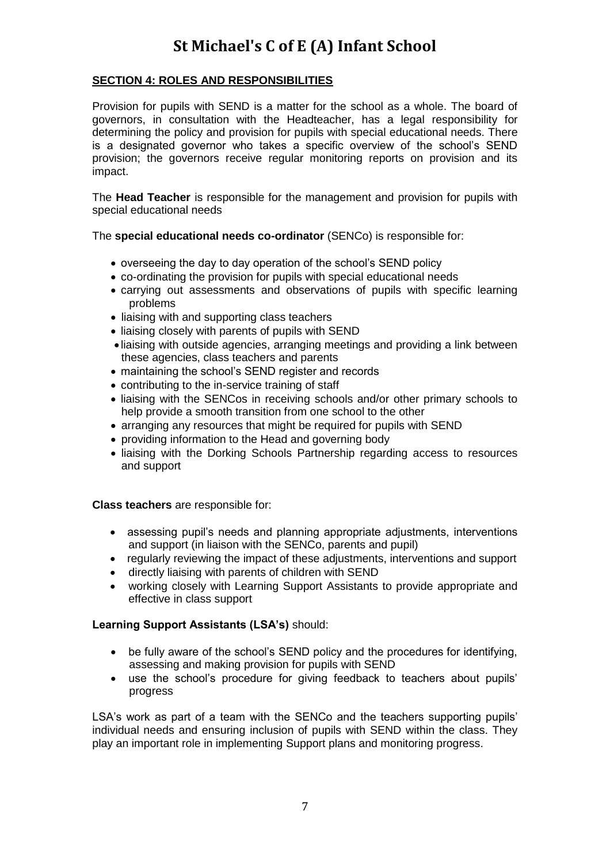# **SECTION 4: ROLES AND RESPONSIBILITIES**

Provision for pupils with SEND is a matter for the school as a whole. The board of governors, in consultation with the Headteacher, has a legal responsibility for determining the policy and provision for pupils with special educational needs. There is a designated governor who takes a specific overview of the school's SEND provision; the governors receive regular monitoring reports on provision and its impact.

The **Head Teacher** is responsible for the management and provision for pupils with special educational needs

The **special educational needs co-ordinator** (SENCo) is responsible for:

- overseeing the day to day operation of the school's SEND policy
- co-ordinating the provision for pupils with special educational needs
- carrying out assessments and observations of pupils with specific learning problems
- liaising with and supporting class teachers
- liaising closely with parents of pupils with SEND
- liaising with outside agencies, arranging meetings and providing a link between these agencies, class teachers and parents
- maintaining the school's SEND register and records
- contributing to the in-service training of staff
- liaising with the SENCos in receiving schools and/or other primary schools to help provide a smooth transition from one school to the other
- arranging any resources that might be required for pupils with SEND
- providing information to the Head and governing body
- liaising with the Dorking Schools Partnership regarding access to resources and support

**Class teachers** are responsible for:

- assessing pupil's needs and planning appropriate adjustments, interventions and support (in liaison with the SENCo, parents and pupil)
- regularly reviewing the impact of these adjustments, interventions and support
- directly liaising with parents of children with SEND
- working closely with Learning Support Assistants to provide appropriate and effective in class support

### **Learning Support Assistants (LSA's)** should:

- be fully aware of the school's SEND policy and the procedures for identifying, assessing and making provision for pupils with SEND
- use the school's procedure for giving feedback to teachers about pupils' progress

LSA's work as part of a team with the SENCo and the teachers supporting pupils' individual needs and ensuring inclusion of pupils with SEND within the class. They play an important role in implementing Support plans and monitoring progress.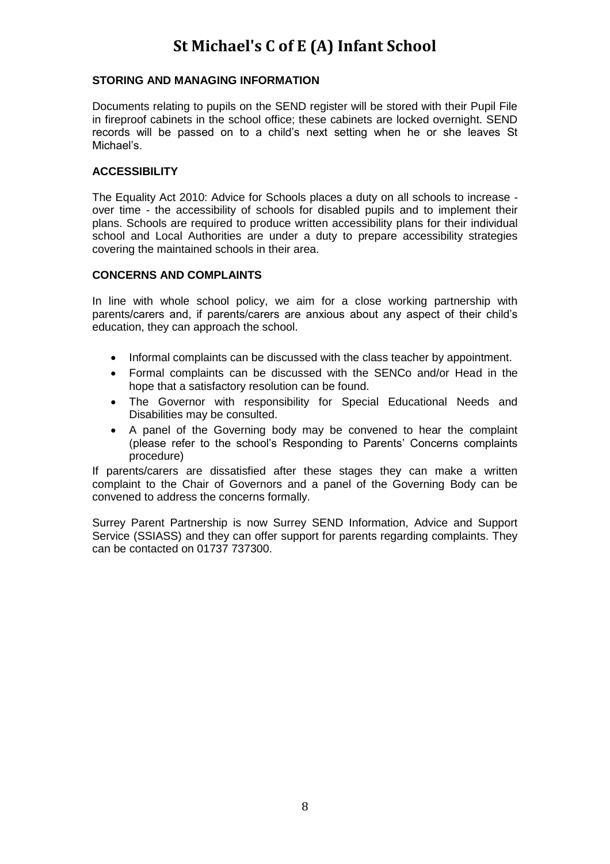### **STORING AND MANAGING INFORMATION**

Documents relating to pupils on the SEND register will be stored with their Pupil File in fireproof cabinets in the school office; these cabinets are locked overnight. SEND records will be passed on to a child's next setting when he or she leaves St Michael's.

### **ACCESSIBILITY**

The Equality Act 2010: Advice for Schools places a duty on all schools to increase over time - the accessibility of schools for disabled pupils and to implement their plans. Schools are required to produce written accessibility plans for their individual school and Local Authorities are under a duty to prepare accessibility strategies covering the maintained schools in their area.

#### **CONCERNS AND COMPLAINTS**

In line with whole school policy, we aim for a close working partnership with parents/carers and, if parents/carers are anxious about any aspect of their child's education, they can approach the school.

- Informal complaints can be discussed with the class teacher by appointment.
- Formal complaints can be discussed with the SENCo and/or Head in the hope that a satisfactory resolution can be found.
- The Governor with responsibility for Special Educational Needs and Disabilities may be consulted.
- A panel of the Governing body may be convened to hear the complaint (please refer to the school's Responding to Parents' Concerns complaints procedure)

If parents/carers are dissatisfied after these stages they can make a written complaint to the Chair of Governors and a panel of the Governing Body can be convened to address the concerns formally.

Surrey Parent Partnership is now Surrey SEND Information, Advice and Support Service (SSIASS) and they can offer support for parents regarding complaints. They can be contacted on 01737 737300.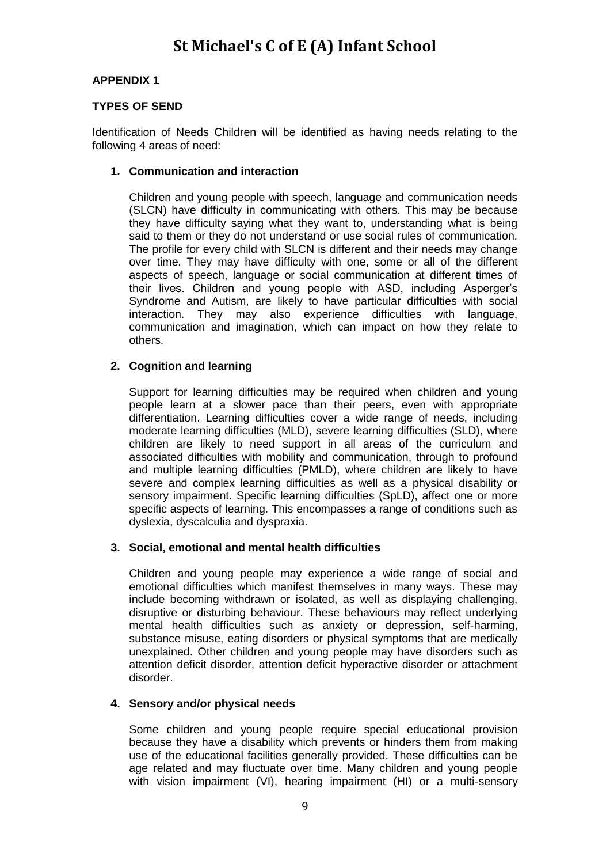# **APPENDIX 1**

# **TYPES OF SEND**

Identification of Needs Children will be identified as having needs relating to the following 4 areas of need:

# **1. Communication and interaction**

Children and young people with speech, language and communication needs (SLCN) have difficulty in communicating with others. This may be because they have difficulty saying what they want to, understanding what is being said to them or they do not understand or use social rules of communication. The profile for every child with SLCN is different and their needs may change over time. They may have difficulty with one, some or all of the different aspects of speech, language or social communication at different times of their lives. Children and young people with ASD, including Asperger's Syndrome and Autism, are likely to have particular difficulties with social interaction. They may also experience difficulties with language, communication and imagination, which can impact on how they relate to others.

# **2. Cognition and learning**

Support for learning difficulties may be required when children and young people learn at a slower pace than their peers, even with appropriate differentiation. Learning difficulties cover a wide range of needs, including moderate learning difficulties (MLD), severe learning difficulties (SLD), where children are likely to need support in all areas of the curriculum and associated difficulties with mobility and communication, through to profound and multiple learning difficulties (PMLD), where children are likely to have severe and complex learning difficulties as well as a physical disability or sensory impairment. Specific learning difficulties (SpLD), affect one or more specific aspects of learning. This encompasses a range of conditions such as dyslexia, dyscalculia and dyspraxia.

# **3. Social, emotional and mental health difficulties**

Children and young people may experience a wide range of social and emotional difficulties which manifest themselves in many ways. These may include becoming withdrawn or isolated, as well as displaying challenging, disruptive or disturbing behaviour. These behaviours may reflect underlying mental health difficulties such as anxiety or depression, self-harming, substance misuse, eating disorders or physical symptoms that are medically unexplained. Other children and young people may have disorders such as attention deficit disorder, attention deficit hyperactive disorder or attachment disorder.

# **4. Sensory and/or physical needs**

Some children and young people require special educational provision because they have a disability which prevents or hinders them from making use of the educational facilities generally provided. These difficulties can be age related and may fluctuate over time. Many children and young people with vision impairment (VI), hearing impairment (HI) or a multi-sensory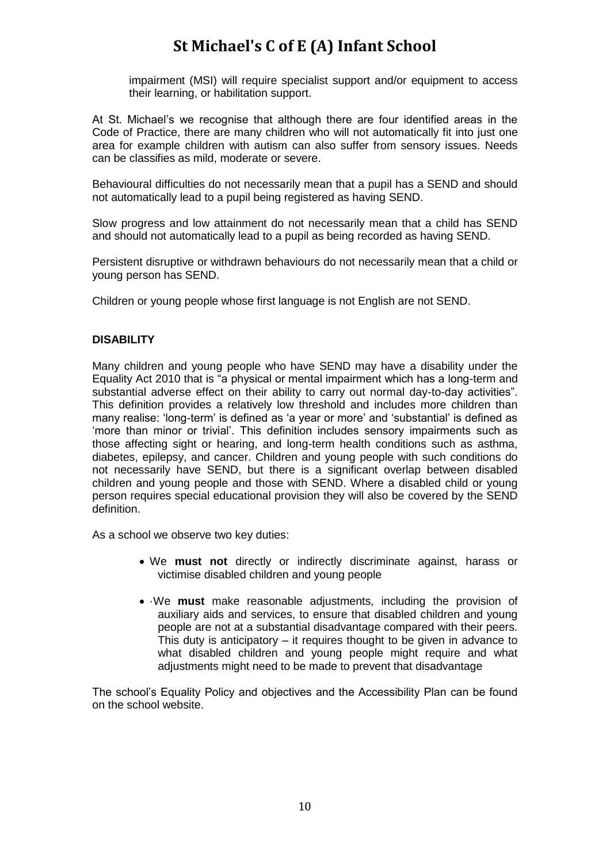impairment (MSI) will require specialist support and/or equipment to access their learning, or habilitation support.

At St. Michael's we recognise that although there are four identified areas in the Code of Practice, there are many children who will not automatically fit into just one area for example children with autism can also suffer from sensory issues. Needs can be classifies as mild, moderate or severe.

Behavioural difficulties do not necessarily mean that a pupil has a SEND and should not automatically lead to a pupil being registered as having SEND.

Slow progress and low attainment do not necessarily mean that a child has SEND and should not automatically lead to a pupil as being recorded as having SEND.

Persistent disruptive or withdrawn behaviours do not necessarily mean that a child or young person has SEND.

Children or young people whose first language is not English are not SEND.

### **DISABILITY**

Many children and young people who have SEND may have a disability under the Equality Act 2010 that is "a physical or mental impairment which has a long-term and substantial adverse effect on their ability to carry out normal day-to-day activities". This definition provides a relatively low threshold and includes more children than many realise: 'long-term' is defined as 'a year or more' and 'substantial' is defined as 'more than minor or trivial'. This definition includes sensory impairments such as those affecting sight or hearing, and long-term health conditions such as asthma, diabetes, epilepsy, and cancer. Children and young people with such conditions do not necessarily have SEND, but there is a significant overlap between disabled children and young people and those with SEND. Where a disabled child or young person requires special educational provision they will also be covered by the SEND definition.

As a school we observe two key duties:

- We **must not** directly or indirectly discriminate against, harass or victimise disabled children and young people
- ·We **must** make reasonable adjustments, including the provision of auxiliary aids and services, to ensure that disabled children and young people are not at a substantial disadvantage compared with their peers. This duty is anticipatory – it requires thought to be given in advance to what disabled children and young people might require and what adjustments might need to be made to prevent that disadvantage

The school's Equality Policy and objectives and the Accessibility Plan can be found on the school website.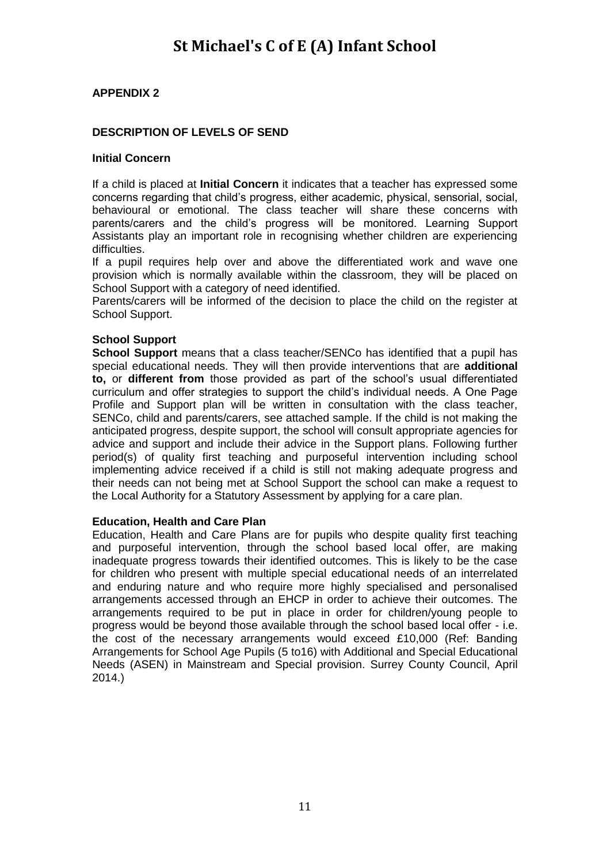### **APPENDIX 2**

### **DESCRIPTION OF LEVELS OF SEND**

### **Initial Concern**

If a child is placed at **Initial Concern** it indicates that a teacher has expressed some concerns regarding that child's progress, either academic, physical, sensorial, social, behavioural or emotional. The class teacher will share these concerns with parents/carers and the child's progress will be monitored. Learning Support Assistants play an important role in recognising whether children are experiencing difficulties.

If a pupil requires help over and above the differentiated work and wave one provision which is normally available within the classroom, they will be placed on School Support with a category of need identified.

Parents/carers will be informed of the decision to place the child on the register at School Support.

### **School Support**

**School Support** means that a class teacher/SENCo has identified that a pupil has special educational needs. They will then provide interventions that are **additional to,** or **different from** those provided as part of the school's usual differentiated curriculum and offer strategies to support the child's individual needs. A One Page Profile and Support plan will be written in consultation with the class teacher, SENCo, child and parents/carers, see attached sample. If the child is not making the anticipated progress, despite support, the school will consult appropriate agencies for advice and support and include their advice in the Support plans. Following further period(s) of quality first teaching and purposeful intervention including school implementing advice received if a child is still not making adequate progress and their needs can not being met at School Support the school can make a request to the Local Authority for a Statutory Assessment by applying for a care plan.

#### **Education, Health and Care Plan**

Education, Health and Care Plans are for pupils who despite quality first teaching and purposeful intervention, through the school based local offer, are making inadequate progress towards their identified outcomes. This is likely to be the case for children who present with multiple special educational needs of an interrelated and enduring nature and who require more highly specialised and personalised arrangements accessed through an EHCP in order to achieve their outcomes. The arrangements required to be put in place in order for children/young people to progress would be beyond those available through the school based local offer - i.e. the cost of the necessary arrangements would exceed £10,000 (Ref: Banding Arrangements for School Age Pupils (5 to16) with Additional and Special Educational Needs (ASEN) in Mainstream and Special provision. Surrey County Council, April 2014.)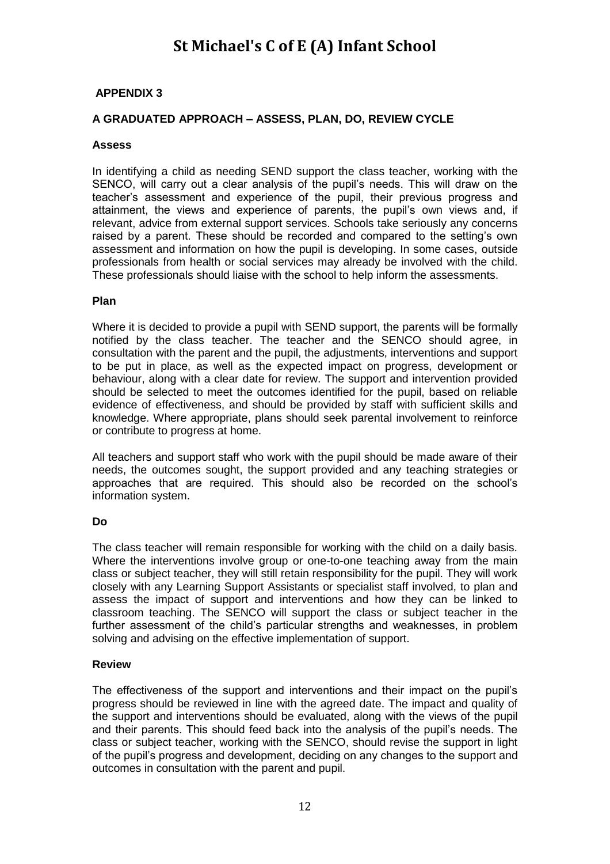### **APPENDIX 3**

### **A GRADUATED APPROACH – ASSESS, PLAN, DO, REVIEW CYCLE**

#### **Assess**

In identifying a child as needing SEND support the class teacher, working with the SENCO, will carry out a clear analysis of the pupil's needs. This will draw on the teacher's assessment and experience of the pupil, their previous progress and attainment, the views and experience of parents, the pupil's own views and, if relevant, advice from external support services. Schools take seriously any concerns raised by a parent. These should be recorded and compared to the setting's own assessment and information on how the pupil is developing. In some cases, outside professionals from health or social services may already be involved with the child. These professionals should liaise with the school to help inform the assessments.

#### **Plan**

Where it is decided to provide a pupil with SEND support, the parents will be formally notified by the class teacher. The teacher and the SENCO should agree, in consultation with the parent and the pupil, the adjustments, interventions and support to be put in place, as well as the expected impact on progress, development or behaviour, along with a clear date for review. The support and intervention provided should be selected to meet the outcomes identified for the pupil, based on reliable evidence of effectiveness, and should be provided by staff with sufficient skills and knowledge. Where appropriate, plans should seek parental involvement to reinforce or contribute to progress at home.

All teachers and support staff who work with the pupil should be made aware of their needs, the outcomes sought, the support provided and any teaching strategies or approaches that are required. This should also be recorded on the school's information system.

### **Do**

The class teacher will remain responsible for working with the child on a daily basis. Where the interventions involve group or one-to-one teaching away from the main class or subject teacher, they will still retain responsibility for the pupil. They will work closely with any Learning Support Assistants or specialist staff involved, to plan and assess the impact of support and interventions and how they can be linked to classroom teaching. The SENCO will support the class or subject teacher in the further assessment of the child's particular strengths and weaknesses, in problem solving and advising on the effective implementation of support.

### **Review**

The effectiveness of the support and interventions and their impact on the pupil's progress should be reviewed in line with the agreed date. The impact and quality of the support and interventions should be evaluated, along with the views of the pupil and their parents. This should feed back into the analysis of the pupil's needs. The class or subject teacher, working with the SENCO, should revise the support in light of the pupil's progress and development, deciding on any changes to the support and outcomes in consultation with the parent and pupil.